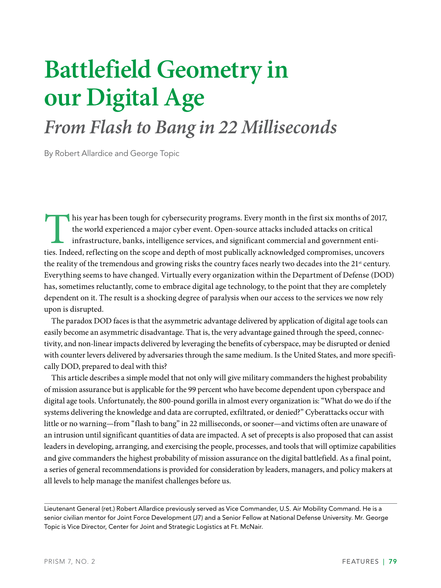# **Battlefield Geometry in our Digital Age**

# *From Flash to Bang in 22 Milliseconds*

By Robert Allardice and George Topic

This year has been tough for cybersecurity programs. Every month in the first six months of 2017, the world experienced a major cyber event. Open-source attacks included attacks on critical infrastructure, banks, intelligence services, and significant commercial and government entities. Indeed, reflecting on the scope and depth of most publically acknowledged compromises, uncovers the reality of the tremendous and growing risks the country faces nearly two decades into the 21<sup>st</sup> century. Everything seems to have changed. Virtually every organization within the Department of Defense (DOD) has, sometimes reluctantly, come to embrace digital age technology, to the point that they are completely dependent on it. The result is a shocking degree of paralysis when our access to the services we now rely upon is disrupted.

The paradox DOD faces is that the asymmetric advantage delivered by application of digital age tools can easily become an asymmetric disadvantage. That is, the very advantage gained through the speed, connectivity, and non-linear impacts delivered by leveraging the benefits of cyberspace, may be disrupted or denied with counter levers delivered by adversaries through the same medium. Is the United States, and more specifically DOD, prepared to deal with this?

This article describes a simple model that not only will give military commanders the highest probability of mission assurance but is applicable for the 99 percent who have become dependent upon cyberspace and digital age tools. Unfortunately, the 800-pound gorilla in almost every organization is: "What do we do if the systems delivering the knowledge and data are corrupted, exfiltrated, or denied?" Cyberattacks occur with little or no warning—from "flash to bang" in 22 milliseconds, or sooner—and victims often are unaware of an intrusion until significant quantities of data are impacted. A set of precepts is also proposed that can assist leaders in developing, arranging, and exercising the people, processes, and tools that will optimize capabilities and give commanders the highest probability of mission assurance on the digital battlefield. As a final point, a series of general recommendations is provided for consideration by leaders, managers, and policy makers at all levels to help manage the manifest challenges before us.

Lieutenant General (ret.) Robert Allardice previously served as Vice Commander, U.S. Air Mobility Command. He is a senior civilian mentor for Joint Force Development (J7) and a Senior Fellow at National Defense University. Mr. George Topic is Vice Director, Center for Joint and Strategic Logistics at Ft. McNair.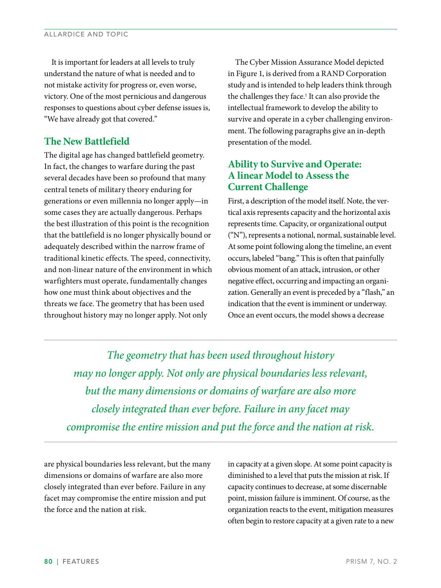It is important for leaders at all levels to truly understand the nature of what is needed and to not mistake activity for progress or, even worse, victory. One of the most pernicious and dangerous responses to questions about cyber defense issues is, "We have already got that covered."

# **The New Battlefield**

The digital age has changed battlefield geometry. In fact, the changes to warfare during the past several decades have been so profound that many central tenets of military theory enduring for generations or even millennia no longer apply—in some cases they are actually dangerous. Perhaps the best illustration of this point is the recognition that the battlefield is no longer physically bound or adequately described within the narrow frame of traditional kinetic effects. The speed, connectivity, and non-linear nature of the environment in which warfighters must operate, fundamentally changes how one must think about objectives and the threats we face. The geometry that has been used throughout history may no longer apply. Not only

The Cyber Mission Assurance Model depicted in Figure 1, is derived from a RAND Corporation study and is intended to help leaders think through the challenges they face.<sup>1</sup> It can also provide the intellectual framework to develop the ability to survive and operate in a cyber challenging environment. The following paragraphs give an in-depth presentation of the model.

# **Ability to Survive and Operate: A linear Model to Assess the Current Challenge**

First, a description of the model itself. Note, the vertical axis represents capacity and the horizontal axis represents time. Capacity, or organizational output ("N"), represents a notional, normal, sustainable level. At some point following along the timeline, an event occurs, labeled "bang." This is often that painfully obvious moment of an attack, intrusion, or other negative effect, occurring and impacting an organization. Generally an event is preceded by a "flash," an indication that the event is imminent or underway. Once an event occurs, the model shows a decrease

*The geometry that has been used throughout history may no longer apply. Not only are physical boundaries less relevant, but the many dimensions or domains of warfare are also more closely integrated than ever before. Failure in any facet may compromise the entire mission and put the force and the nation at risk.*

are physical boundaries less relevant, but the many dimensions or domains of warfare are also more closely integrated than ever before. Failure in any facet may compromise the entire mission and put the force and the nation at risk.

in capacity at a given slope. At some point capacity is diminished to a level that puts the mission at risk. If capacity continues to decrease, at some discernable point, mission failure is imminent. Of course, as the organization reacts to the event, mitigation measures often begin to restore capacity at a given rate to a new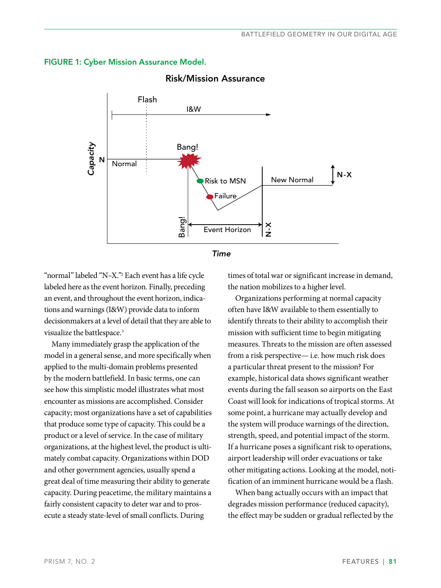



## Risk/Mission Assurance

"normal" labeled "N–X."2 Each event has a life cycle labeled here as the event horizon. Finally, preceding an event, and throughout the event horizon, indications and warnings (I&W) provide data to inform decisionmakers at a level of detail that they are able to visualize the battlespace.<sup>3</sup>

Many immediately grasp the application of the model in a general sense, and more specifically when applied to the multi-domain problems presented by the modern battlefield. In basic terms, one can see how this simplistic model illustrates what most encounter as missions are accomplished. Consider capacity; most organizations have a set of capabilities that produce some type of capacity. This could be a product or a level of service. In the case of military organizations, at the highest level, the product is ultimately combat capacity. Organizations within DOD and other government agencies, usually spend a great deal of time measuring their ability to generate capacity. During peacetime, the military maintains a fairly consistent capacity to deter war and to prosecute a steady state-level of small conflicts. During

times of total war or significant increase in demand, the nation mobilizes to a higher level.

Organizations performing at normal capacity often have I&W available to them essentially to identify threats to their ability to accomplish their mission with sufficient time to begin mitigating measures. Threats to the mission are often assessed from a risk perspective— i.e. how much risk does a particular threat present to the mission? For example, historical data shows significant weather events during the fall season so airports on the East Coast will look for indications of tropical storms. At some point, a hurricane may actually develop and the system will produce warnings of the direction, strength, speed, and potential impact of the storm. If a hurricane poses a significant risk to operations, airport leadership will order evacuations or take other mitigating actions. Looking at the model, notification of an imminent hurricane would be a flash.

When bang actually occurs with an impact that degrades mission performance (reduced capacity), the effect may be sudden or gradual reflected by the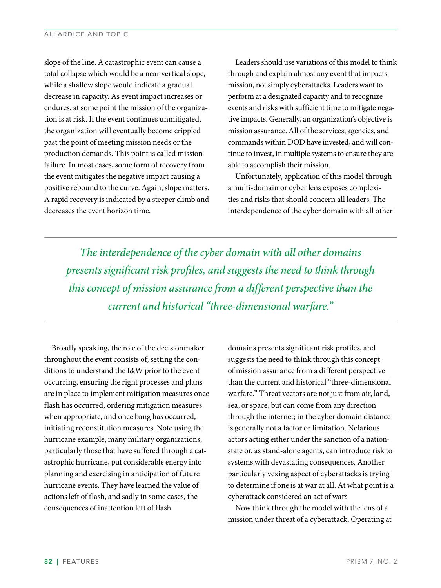slope of the line. A catastrophic event can cause a total collapse which would be a near vertical slope, while a shallow slope would indicate a gradual decrease in capacity. As event impact increases or endures, at some point the mission of the organization is at risk. If the event continues unmitigated, the organization will eventually become crippled past the point of meeting mission needs or the production demands. This point is called mission failure. In most cases, some form of recovery from the event mitigates the negative impact causing a positive rebound to the curve. Again, slope matters. A rapid recovery is indicated by a steeper climb and decreases the event horizon time.

Leaders should use variations of this model to think through and explain almost any event that impacts mission, not simply cyberattacks. Leaders want to perform at a designated capacity and to recognize events and risks with sufficient time to mitigate negative impacts. Generally, an organization's objective is mission assurance. All of the services, agencies, and commands within DOD have invested, and will continue to invest, in multiple systems to ensure they are able to accomplish their mission.

Unfortunately, application of this model through a multi-domain or cyber lens exposes complexities and risks that should concern all leaders. The interdependence of the cyber domain with all other

*The interdependence of the cyber domain with all other domains presents significant risk profiles, and suggests the need to think through this concept of mission assurance from a different perspective than the current and historical "three-dimensional warfare."*

Broadly speaking, the role of the decisionmaker throughout the event consists of; setting the conditions to understand the I&W prior to the event occurring, ensuring the right processes and plans are in place to implement mitigation measures once flash has occurred, ordering mitigation measures when appropriate, and once bang has occurred, initiating reconstitution measures. Note using the hurricane example, many military organizations, particularly those that have suffered through a catastrophic hurricane, put considerable energy into planning and exercising in anticipation of future hurricane events. They have learned the value of actions left of flash, and sadly in some cases, the consequences of inattention left of flash.

domains presents significant risk profiles, and suggests the need to think through this concept of mission assurance from a different perspective than the current and historical "three-dimensional warfare." Threat vectors are not just from air, land, sea, or space, but can come from any direction through the internet; in the cyber domain distance is generally not a factor or limitation. Nefarious actors acting either under the sanction of a nationstate or, as stand-alone agents, can introduce risk to systems with devastating consequences. Another particularly vexing aspect of cyberattacks is trying to determine if one is at war at all. At what point is a cyberattack considered an act of war?

Now think through the model with the lens of a mission under threat of a cyberattack. Operating at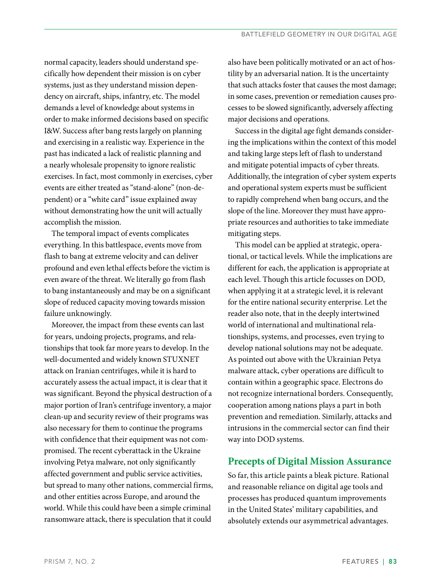normal capacity, leaders should understand specifically how dependent their mission is on cyber systems, just as they understand mission dependency on aircraft, ships, infantry, etc. The model demands a level of knowledge about systems in order to make informed decisions based on specific I&W. Success after bang rests largely on planning and exercising in a realistic way. Experience in the past has indicated a lack of realistic planning and a nearly wholesale propensity to ignore realistic exercises. In fact, most commonly in exercises, cyber events are either treated as "stand-alone" (non-dependent) or a "white card" issue explained away without demonstrating how the unit will actually accomplish the mission.

The temporal impact of events complicates everything. In this battlespace, events move from flash to bang at extreme velocity and can deliver profound and even lethal effects before the victim is even aware of the threat. We literally go from flash to bang instantaneously and may be on a significant slope of reduced capacity moving towards mission failure unknowingly.

Moreover, the impact from these events can last for years, undoing projects, programs, and relationships that took far more years to develop. In the well-documented and widely known STUXNET attack on Iranian centrifuges, while it is hard to accurately assess the actual impact, it is clear that it was significant. Beyond the physical destruction of a major portion of Iran's centrifuge inventory, a major clean-up and security review of their programs was also necessary for them to continue the programs with confidence that their equipment was not compromised. The recent cyberattack in the Ukraine involving Petya malware, not only significantly affected government and public service activities, but spread to many other nations, commercial firms, and other entities across Europe, and around the world. While this could have been a simple criminal ransomware attack, there is speculation that it could

also have been politically motivated or an act of hostility by an adversarial nation. It is the uncertainty that such attacks foster that causes the most damage; in some cases, prevention or remediation causes processes to be slowed significantly, adversely affecting major decisions and operations.

Success in the digital age fight demands considering the implications within the context of this model and taking large steps left of flash to understand and mitigate potential impacts of cyber threats. Additionally, the integration of cyber system experts and operational system experts must be sufficient to rapidly comprehend when bang occurs, and the slope of the line. Moreover they must have appropriate resources and authorities to take immediate mitigating steps.

This model can be applied at strategic, operational, or tactical levels. While the implications are different for each, the application is appropriate at each level. Though this article focusses on DOD, when applying it at a strategic level, it is relevant for the entire national security enterprise. Let the reader also note, that in the deeply intertwined world of international and multinational relationships, systems, and processes, even trying to develop national solutions may not be adequate. As pointed out above with the Ukrainian Petya malware attack, cyber operations are difficult to contain within a geographic space. Electrons do not recognize international borders. Consequently, cooperation among nations plays a part in both prevention and remediation. Similarly, attacks and intrusions in the commercial sector can find their way into DOD systems.

# **Precepts of Digital Mission Assurance**

So far, this article paints a bleak picture. Rational and reasonable reliance on digital age tools and processes has produced quantum improvements in the United States' military capabilities, and absolutely extends our asymmetrical advantages.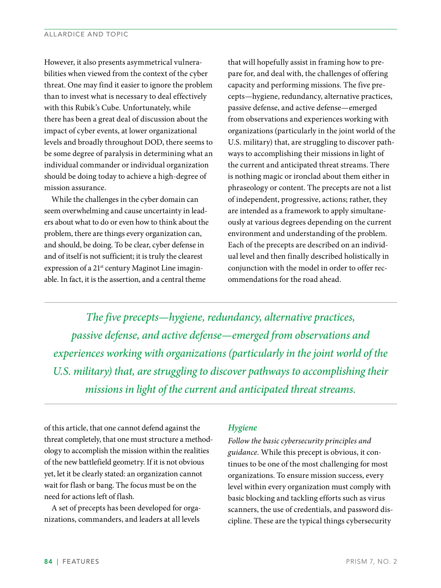However, it also presents asymmetrical vulnerabilities when viewed from the context of the cyber threat. One may find it easier to ignore the problem than to invest what is necessary to deal effectively with this Rubik's Cube. Unfortunately, while there has been a great deal of discussion about the impact of cyber events, at lower organizational levels and broadly throughout DOD, there seems to be some degree of paralysis in determining what an individual commander or individual organization should be doing today to achieve a high-degree of mission assurance.

While the challenges in the cyber domain can seem overwhelming and cause uncertainty in leaders about what to do or even how to think about the problem, there are things every organization can, and should, be doing. To be clear, cyber defense in and of itself is not sufficient; it is truly the clearest expression of a 21<sup>st</sup> century Maginot Line imaginable. In fact, it is the assertion, and a central theme

that will hopefully assist in framing how to prepare for, and deal with, the challenges of offering capacity and performing missions. The five precepts—hygiene, redundancy, alternative practices, passive defense, and active defense—emerged from observations and experiences working with organizations (particularly in the joint world of the U.S. military) that, are struggling to discover pathways to accomplishing their missions in light of the current and anticipated threat streams. There is nothing magic or ironclad about them either in phraseology or content. The precepts are not a list of independent, progressive, actions; rather, they are intended as a framework to apply simultaneously at various degrees depending on the current environment and understanding of the problem. Each of the precepts are described on an individual level and then finally described holistically in conjunction with the model in order to offer recommendations for the road ahead.

*The five precepts—hygiene, redundancy, alternative practices, passive defense, and active defense—emerged from observations and experiences working with organizations (particularly in the joint world of the U.S. military) that, are struggling to discover pathways to accomplishing their missions in light of the current and anticipated threat streams.*

of this article, that one cannot defend against the threat completely, that one must structure a methodology to accomplish the mission within the realities of the new battlefield geometry. If it is not obvious yet, let it be clearly stated: an organization cannot wait for flash or bang. The focus must be on the need for actions left of flash.

A set of precepts has been developed for organizations, commanders, and leaders at all levels

#### *Hygiene*

*Follow the basic cybersecurity principles and guidance.* While this precept is obvious, it continues to be one of the most challenging for most organizations. To ensure mission success, every level within every organization must comply with basic blocking and tackling efforts such as virus scanners, the use of credentials, and password discipline. These are the typical things cybersecurity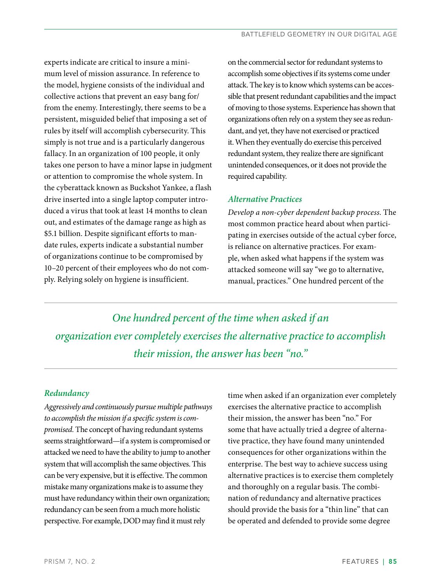experts indicate are critical to insure a minimum level of mission assurance. In reference to the model, hygiene consists of the individual and collective actions that prevent an easy bang for/ from the enemy. Interestingly, there seems to be a persistent, misguided belief that imposing a set of rules by itself will accomplish cybersecurity. This simply is not true and is a particularly dangerous fallacy. In an organization of 100 people, it only takes one person to have a minor lapse in judgment or attention to compromise the whole system. In the cyberattack known as Buckshot Yankee, a flash drive inserted into a single laptop computer introduced a virus that took at least 14 months to clean out, and estimates of the damage range as high as \$5.1 billion. Despite significant efforts to mandate rules, experts indicate a substantial number of organizations continue to be compromised by 10–20 percent of their employees who do not comply. Relying solely on hygiene is insufficient.

on the commercial sector for redundant systems to accomplish some objectives if its systems come under attack. The key is to know which systems can be accessible that present redundant capabilities and the impact of moving to those systems. Experience has shown that organizations often rely on a system they see as redundant, and yet, they have not exercised or practiced it. When they eventually do exercise this perceived redundant system, they realize there are significant unintended consequences, or it does not provide the required capability.

# *Alternative Practices*

*Develop a non-cyber dependent backup process.* The most common practice heard about when participating in exercises outside of the actual cyber force, is reliance on alternative practices. For example, when asked what happens if the system was attacked someone will say "we go to alternative, manual, practices." One hundred percent of the

*One hundred percent of the time when asked if an organization ever completely exercises the alternative practice to accomplish their mission, the answer has been "no."*

# *Redundancy*

*Aggressively and continuously pursue multiple pathways to accomplish the mission if a specific system is compromised.* The concept of having redundant systems seems straightforward—if a system is compromised or attacked we need to have the ability to jump to another system that will accomplish the same objectives. This can be very expensive, but it is effective. The common mistake many organizations make is to assume they must have redundancy within their own organization; redundancy can be seen from a much more holistic perspective. For example, DOD may find it must rely

time when asked if an organization ever completely exercises the alternative practice to accomplish their mission, the answer has been "no." For some that have actually tried a degree of alternative practice, they have found many unintended consequences for other organizations within the enterprise. The best way to achieve success using alternative practices is to exercise them completely and thoroughly on a regular basis. The combination of redundancy and alternative practices should provide the basis for a "thin line" that can be operated and defended to provide some degree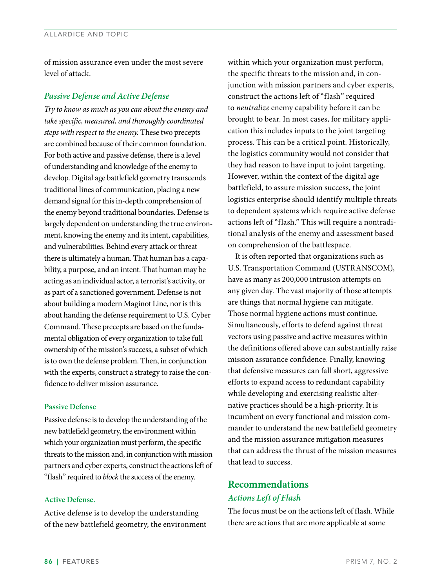of mission assurance even under the most severe level of attack.

#### *Passive Defense and Active Defense*

*Try to know as much as you can about the enemy and take specific, measured, and thoroughly coordinated steps with respect to the enemy.* These two precepts are combined because of their common foundation. For both active and passive defense, there is a level of understanding and knowledge of the enemy to develop. Digital age battlefield geometry transcends traditional lines of communication, placing a new demand signal for this in-depth comprehension of the enemy beyond traditional boundaries. Defense is largely dependent on understanding the true environment, knowing the enemy and its intent, capabilities, and vulnerabilities. Behind every attack or threat there is ultimately a human. That human has a capability, a purpose, and an intent. That human may be acting as an individual actor, a terrorist's activity, or as part of a sanctioned government. Defense is not about building a modern Maginot Line, nor is this about handing the defense requirement to U.S. Cyber Command. These precepts are based on the fundamental obligation of every organization to take full ownership of the mission's success, a subset of which is to own the defense problem. Then, in conjunction with the experts, construct a strategy to raise the confidence to deliver mission assurance.

#### **Passive Defense**

Passive defense is to develop the understanding of the new battlefield geometry, the environment within which your organization must perform, the specific threats to the mission and, in conjunction with mission partners and cyber experts, construct the actions left of "flash" required to *block* the success of the enemy.

#### **Active Defense.**

Active defense is to develop the understanding of the new battlefield geometry, the environment within which your organization must perform, the specific threats to the mission and, in conjunction with mission partners and cyber experts, construct the actions left of "flash" required to *neutralize* enemy capability before it can be brought to bear. In most cases, for military application this includes inputs to the joint targeting process. This can be a critical point. Historically, the logistics community would not consider that they had reason to have input to joint targeting. However, within the context of the digital age battlefield, to assure mission success, the joint logistics enterprise should identify multiple threats to dependent systems which require active defense actions left of "flash." This will require a nontraditional analysis of the enemy and assessment based on comprehension of the battlespace.

It is often reported that organizations such as U.S. Transportation Command (USTRANSCOM), have as many as 200,000 intrusion attempts on any given day. The vast majority of those attempts are things that normal hygiene can mitigate. Those normal hygiene actions must continue. Simultaneously, efforts to defend against threat vectors using passive and active measures within the definitions offered above can substantially raise mission assurance confidence. Finally, knowing that defensive measures can fall short, aggressive efforts to expand access to redundant capability while developing and exercising realistic alternative practices should be a high-priority. It is incumbent on every functional and mission commander to understand the new battlefield geometry and the mission assurance mitigation measures that can address the thrust of the mission measures that lead to success.

# **Recommendations**  *Actions Left of Flash*

The focus must be on the actions left of flash. While there are actions that are more applicable at some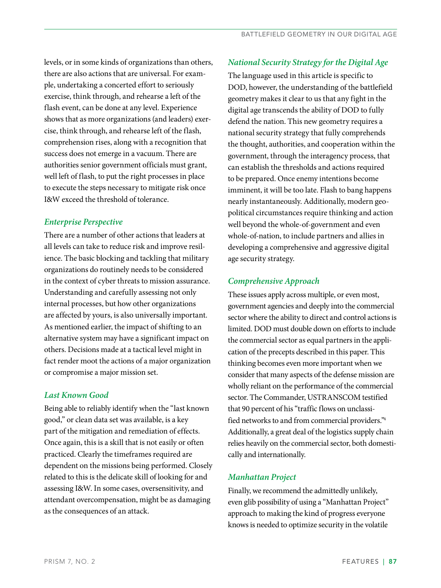levels, or in some kinds of organizations than others, there are also actions that are universal. For example, undertaking a concerted effort to seriously exercise, think through, and rehearse a left of the flash event, can be done at any level. Experience shows that as more organizations (and leaders) exercise, think through, and rehearse left of the flash, comprehension rises, along with a recognition that success does not emerge in a vacuum. There are authorities senior government officials must grant, well left of flash, to put the right processes in place to execute the steps necessary to mitigate risk once I&W exceed the threshold of tolerance.

# *Enterprise Perspective*

There are a number of other actions that leaders at all levels can take to reduce risk and improve resilience. The basic blocking and tackling that military organizations do routinely needs to be considered in the context of cyber threats to mission assurance. Understanding and carefully assessing not only internal processes, but how other organizations are affected by yours, is also universally important. As mentioned earlier, the impact of shifting to an alternative system may have a significant impact on others. Decisions made at a tactical level might in fact render moot the actions of a major organization or compromise a major mission set.

# *Last Known Good*

Being able to reliably identify when the "last known good," or clean data set was available, is a key part of the mitigation and remediation of effects. Once again, this is a skill that is not easily or often practiced. Clearly the timeframes required are dependent on the missions being performed. Closely related to this is the delicate skill of looking for and assessing I&W. In some cases, oversensitivity, and attendant overcompensation, might be as damaging as the consequences of an attack.

# *National Security Strategy for the Digital Age*

The language used in this article is specific to DOD, however, the understanding of the battlefield geometry makes it clear to us that any fight in the digital age transcends the ability of DOD to fully defend the nation. This new geometry requires a national security strategy that fully comprehends the thought, authorities, and cooperation within the government, through the interagency process, that can establish the thresholds and actions required to be prepared. Once enemy intentions become imminent, it will be too late. Flash to bang happens nearly instantaneously. Additionally, modern geopolitical circumstances require thinking and action well beyond the whole-of-government and even whole-of-nation, to include partners and allies in developing a comprehensive and aggressive digital age security strategy.

# *Comprehensive Approach*

These issues apply across multiple, or even most, government agencies and deeply into the commercial sector where the ability to direct and control actions is limited. DOD must double down on efforts to include the commercial sector as equal partners in the application of the precepts described in this paper. This thinking becomes even more important when we consider that many aspects of the defense mission are wholly reliant on the performance of the commercial sector. The Commander, USTRANSCOM testified that 90 percent of his "traffic flows on unclassified networks to and from commercial providers."4 Additionally, a great deal of the logistics supply chain relies heavily on the commercial sector, both domestically and internationally.

#### *Manhattan Project*

Finally, we recommend the admittedly unlikely, even glib possibility of using a "Manhattan Project" approach to making the kind of progress everyone knows is needed to optimize security in the volatile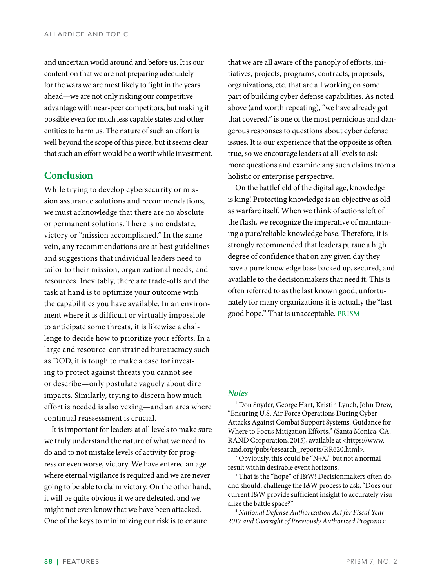and uncertain world around and before us. It is our contention that we are not preparing adequately for the wars we are most likely to fight in the years ahead—we are not only risking our competitive advantage with near-peer competitors, but making it possible even for much less capable states and other entities to harm us. The nature of such an effort is well beyond the scope of this piece, but it seems clear that such an effort would be a worthwhile investment.

# **Conclusion**

While trying to develop cybersecurity or mission assurance solutions and recommendations, we must acknowledge that there are no absolute or permanent solutions. There is no endstate, victory or "mission accomplished." In the same vein, any recommendations are at best guidelines and suggestions that individual leaders need to tailor to their mission, organizational needs, and resources. Inevitably, there are trade-offs and the task at hand is to optimize your outcome with the capabilities you have available. In an environment where it is difficult or virtually impossible to anticipate some threats, it is likewise a challenge to decide how to prioritize your efforts. In a large and resource-constrained bureaucracy such as DOD, it is tough to make a case for investing to protect against threats you cannot see or describe—only postulate vaguely about dire impacts. Similarly, trying to discern how much effort is needed is also vexing—and an area where continual reassessment is crucial.

It is important for leaders at all levels to make sure we truly understand the nature of what we need to do and to not mistake levels of activity for progress or even worse, victory. We have entered an age where eternal vigilance is required and we are never going to be able to claim victory. On the other hand, it will be quite obvious if we are defeated, and we might not even know that we have been attacked. One of the keys to minimizing our risk is to ensure

that we are all aware of the panoply of efforts, initiatives, projects, programs, contracts, proposals, organizations, etc. that are all working on some part of building cyber defense capabilities. As noted above (and worth repeating), "we have already got that covered," is one of the most pernicious and dangerous responses to questions about cyber defense issues. It is our experience that the opposite is often true, so we encourage leaders at all levels to ask more questions and examine any such claims from a holistic or enterprise perspective.

On the battlefield of the digital age, knowledge is king! Protecting knowledge is an objective as old as warfare itself. When we think of actions left of the flash, we recognize the imperative of maintaining a pure/reliable knowledge base. Therefore, it is strongly recommended that leaders pursue a high degree of confidence that on any given day they have a pure knowledge base backed up, secured, and available to the decisionmakers that need it. This is often referred to as the last known good; unfortunately for many organizations it is actually the "last good hope." That is unacceptable. **PRISM**

#### *Notes*

1 Don Snyder, George Hart, Kristin Lynch, John Drew, "Ensuring U.S. Air Force Operations During Cyber Attacks Against Combat Support Systems: Guidance for Where to Focus Mitigation Efforts," (Santa Monica, CA: RAND Corporation, 2015), available at <https://www. rand.org/pubs/research\_reports/RR620.html>.

2 Obviously, this could be "N+X," but not a normal result within desirable event horizons.

3 That is the "hope" of I&W! Decisionmakers often do, and should, challenge the I&W process to ask, "Does our current I&W provide sufficient insight to accurately visualize the battle space?"

<sup>4</sup> *National Defense Authorization Act for Fiscal Year 2017 and Oversight of Previously Authorized Programs:*